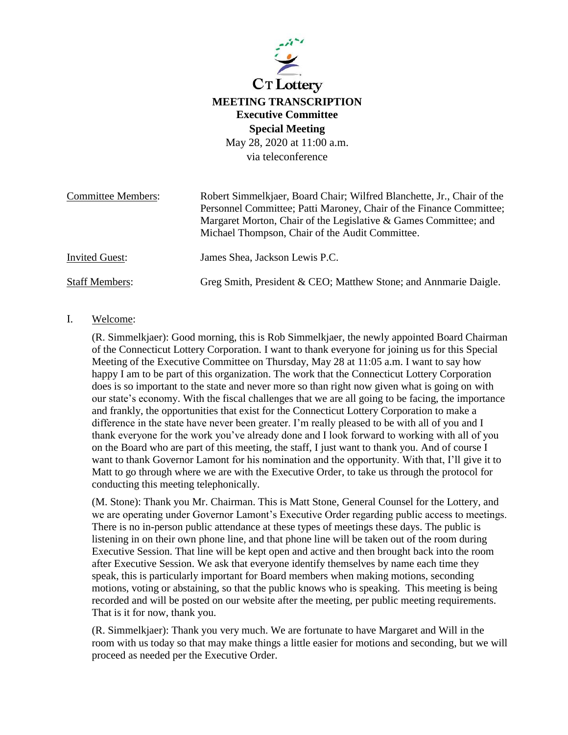

# **MEETING TRANSCRIPTION Executive Committee Special Meeting**

May 28, 2020 at 11:00 a.m. via teleconference

| <b>Committee Members:</b> | Robert Simmelkjaer, Board Chair; Wilfred Blanchette, Jr., Chair of the                                              |
|---------------------------|---------------------------------------------------------------------------------------------------------------------|
|                           | Personnel Committee; Patti Maroney, Chair of the Finance Committee;                                                 |
|                           | Margaret Morton, Chair of the Legislative & Games Committee; and<br>Michael Thompson, Chair of the Audit Committee. |
|                           |                                                                                                                     |
| <b>Invited Guest:</b>     | James Shea, Jackson Lewis P.C.                                                                                      |
| Staff Members:            | Greg Smith, President & CEO; Matthew Stone; and Annmarie Daigle.                                                    |

# I. Welcome:

(R. Simmelkjaer): Good morning, this is Rob Simmelkjaer, the newly appointed Board Chairman of the Connecticut Lottery Corporation. I want to thank everyone for joining us for this Special Meeting of the Executive Committee on Thursday, May 28 at 11:05 a.m. I want to say how happy I am to be part of this organization. The work that the Connecticut Lottery Corporation does is so important to the state and never more so than right now given what is going on with our state's economy. With the fiscal challenges that we are all going to be facing, the importance and frankly, the opportunities that exist for the Connecticut Lottery Corporation to make a difference in the state have never been greater. I'm really pleased to be with all of you and I thank everyone for the work you've already done and I look forward to working with all of you on the Board who are part of this meeting, the staff, I just want to thank you. And of course I want to thank Governor Lamont for his nomination and the opportunity. With that, I'll give it to Matt to go through where we are with the Executive Order, to take us through the protocol for conducting this meeting telephonically.

(M. Stone): Thank you Mr. Chairman. This is Matt Stone, General Counsel for the Lottery, and we are operating under Governor Lamont's Executive Order regarding public access to meetings. There is no in-person public attendance at these types of meetings these days. The public is listening in on their own phone line, and that phone line will be taken out of the room during Executive Session. That line will be kept open and active and then brought back into the room after Executive Session. We ask that everyone identify themselves by name each time they speak, this is particularly important for Board members when making motions, seconding motions, voting or abstaining, so that the public knows who is speaking. This meeting is being recorded and will be posted on our website after the meeting, per public meeting requirements. That is it for now, thank you.

(R. Simmelkjaer): Thank you very much. We are fortunate to have Margaret and Will in the room with us today so that may make things a little easier for motions and seconding, but we will proceed as needed per the Executive Order.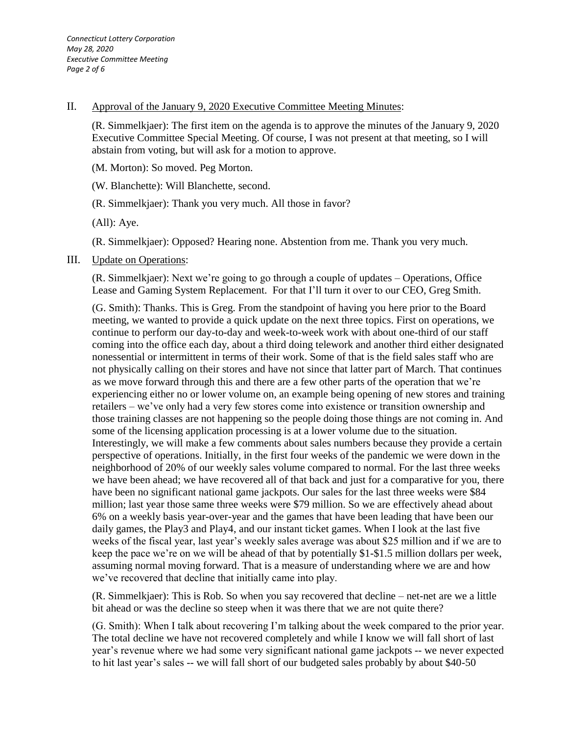### II. Approval of the January 9, 2020 Executive Committee Meeting Minutes:

(R. Simmelkjaer): The first item on the agenda is to approve the minutes of the January 9, 2020 Executive Committee Special Meeting. Of course, I was not present at that meeting, so I will abstain from voting, but will ask for a motion to approve.

(M. Morton): So moved. Peg Morton.

(W. Blanchette): Will Blanchette, second.

(R. Simmelkjaer): Thank you very much. All those in favor?

(All): Aye.

(R. Simmelkjaer): Opposed? Hearing none. Abstention from me. Thank you very much.

## III. Update on Operations:

(R. Simmelkjaer): Next we're going to go through a couple of updates – Operations, Office Lease and Gaming System Replacement. For that I'll turn it over to our CEO, Greg Smith.

(G. Smith): Thanks. This is Greg. From the standpoint of having you here prior to the Board meeting, we wanted to provide a quick update on the next three topics. First on operations, we continue to perform our day-to-day and week-to-week work with about one-third of our staff coming into the office each day, about a third doing telework and another third either designated nonessential or intermittent in terms of their work. Some of that is the field sales staff who are not physically calling on their stores and have not since that latter part of March. That continues as we move forward through this and there are a few other parts of the operation that we're experiencing either no or lower volume on, an example being opening of new stores and training retailers – we've only had a very few stores come into existence or transition ownership and those training classes are not happening so the people doing those things are not coming in. And some of the licensing application processing is at a lower volume due to the situation. Interestingly, we will make a few comments about sales numbers because they provide a certain perspective of operations. Initially, in the first four weeks of the pandemic we were down in the neighborhood of 20% of our weekly sales volume compared to normal. For the last three weeks we have been ahead; we have recovered all of that back and just for a comparative for you, there have been no significant national game jackpots. Our sales for the last three weeks were \$84 million; last year those same three weeks were \$79 million. So we are effectively ahead about 6% on a weekly basis year-over-year and the games that have been leading that have been our daily games, the Play3 and Play4, and our instant ticket games. When I look at the last five weeks of the fiscal year, last year's weekly sales average was about \$25 million and if we are to keep the pace we're on we will be ahead of that by potentially \$1-\$1.5 million dollars per week, assuming normal moving forward. That is a measure of understanding where we are and how we've recovered that decline that initially came into play.

(R. Simmelkjaer): This is Rob. So when you say recovered that decline – net-net are we a little bit ahead or was the decline so steep when it was there that we are not quite there?

(G. Smith): When I talk about recovering I'm talking about the week compared to the prior year. The total decline we have not recovered completely and while I know we will fall short of last year's revenue where we had some very significant national game jackpots -- we never expected to hit last year's sales -- we will fall short of our budgeted sales probably by about \$40-50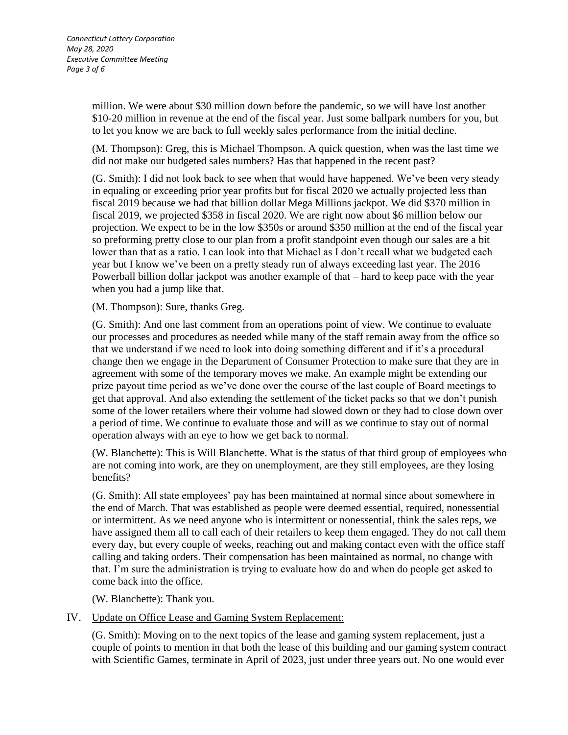million. We were about \$30 million down before the pandemic, so we will have lost another \$10-20 million in revenue at the end of the fiscal year. Just some ballpark numbers for you, but to let you know we are back to full weekly sales performance from the initial decline.

(M. Thompson): Greg, this is Michael Thompson. A quick question, when was the last time we did not make our budgeted sales numbers? Has that happened in the recent past?

(G. Smith): I did not look back to see when that would have happened. We've been very steady in equaling or exceeding prior year profits but for fiscal 2020 we actually projected less than fiscal 2019 because we had that billion dollar Mega Millions jackpot. We did \$370 million in fiscal 2019, we projected \$358 in fiscal 2020. We are right now about \$6 million below our projection. We expect to be in the low \$350s or around \$350 million at the end of the fiscal year so preforming pretty close to our plan from a profit standpoint even though our sales are a bit lower than that as a ratio. I can look into that Michael as I don't recall what we budgeted each year but I know we've been on a pretty steady run of always exceeding last year. The 2016 Powerball billion dollar jackpot was another example of that – hard to keep pace with the year when you had a jump like that.

(M. Thompson): Sure, thanks Greg.

(G. Smith): And one last comment from an operations point of view. We continue to evaluate our processes and procedures as needed while many of the staff remain away from the office so that we understand if we need to look into doing something different and if it's a procedural change then we engage in the Department of Consumer Protection to make sure that they are in agreement with some of the temporary moves we make. An example might be extending our prize payout time period as we've done over the course of the last couple of Board meetings to get that approval. And also extending the settlement of the ticket packs so that we don't punish some of the lower retailers where their volume had slowed down or they had to close down over a period of time. We continue to evaluate those and will as we continue to stay out of normal operation always with an eye to how we get back to normal.

(W. Blanchette): This is Will Blanchette. What is the status of that third group of employees who are not coming into work, are they on unemployment, are they still employees, are they losing benefits?

(G. Smith): All state employees' pay has been maintained at normal since about somewhere in the end of March. That was established as people were deemed essential, required, nonessential or intermittent. As we need anyone who is intermittent or nonessential, think the sales reps, we have assigned them all to call each of their retailers to keep them engaged. They do not call them every day, but every couple of weeks, reaching out and making contact even with the office staff calling and taking orders. Their compensation has been maintained as normal, no change with that. I'm sure the administration is trying to evaluate how do and when do people get asked to come back into the office.

(W. Blanchette): Thank you.

# IV. Update on Office Lease and Gaming System Replacement:

(G. Smith): Moving on to the next topics of the lease and gaming system replacement, just a couple of points to mention in that both the lease of this building and our gaming system contract with Scientific Games, terminate in April of 2023, just under three years out. No one would ever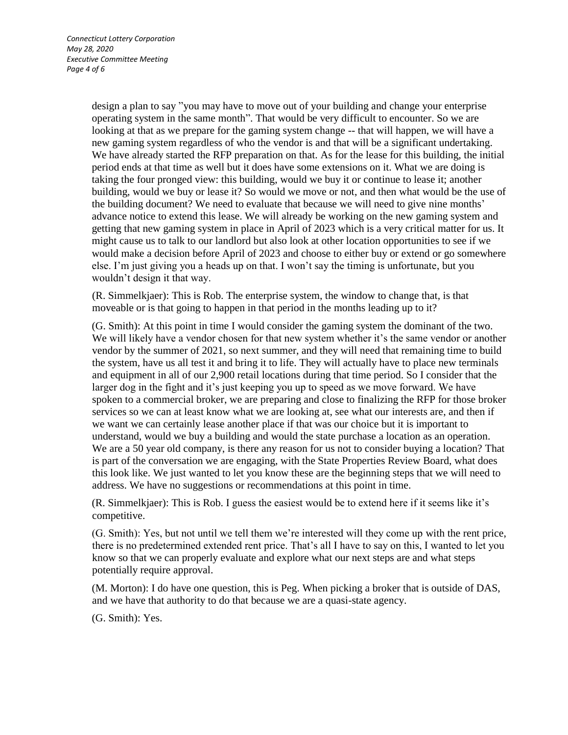design a plan to say "you may have to move out of your building and change your enterprise operating system in the same month". That would be very difficult to encounter. So we are looking at that as we prepare for the gaming system change -- that will happen, we will have a new gaming system regardless of who the vendor is and that will be a significant undertaking. We have already started the RFP preparation on that. As for the lease for this building, the initial period ends at that time as well but it does have some extensions on it. What we are doing is taking the four pronged view: this building, would we buy it or continue to lease it; another building, would we buy or lease it? So would we move or not, and then what would be the use of the building document? We need to evaluate that because we will need to give nine months' advance notice to extend this lease. We will already be working on the new gaming system and getting that new gaming system in place in April of 2023 which is a very critical matter for us. It might cause us to talk to our landlord but also look at other location opportunities to see if we would make a decision before April of 2023 and choose to either buy or extend or go somewhere else. I'm just giving you a heads up on that. I won't say the timing is unfortunate, but you wouldn't design it that way.

(R. Simmelkjaer): This is Rob. The enterprise system, the window to change that, is that moveable or is that going to happen in that period in the months leading up to it?

(G. Smith): At this point in time I would consider the gaming system the dominant of the two. We will likely have a vendor chosen for that new system whether it's the same vendor or another vendor by the summer of 2021, so next summer, and they will need that remaining time to build the system, have us all test it and bring it to life. They will actually have to place new terminals and equipment in all of our 2,900 retail locations during that time period. So I consider that the larger dog in the fight and it's just keeping you up to speed as we move forward. We have spoken to a commercial broker, we are preparing and close to finalizing the RFP for those broker services so we can at least know what we are looking at, see what our interests are, and then if we want we can certainly lease another place if that was our choice but it is important to understand, would we buy a building and would the state purchase a location as an operation. We are a 50 year old company, is there any reason for us not to consider buying a location? That is part of the conversation we are engaging, with the State Properties Review Board, what does this look like. We just wanted to let you know these are the beginning steps that we will need to address. We have no suggestions or recommendations at this point in time.

(R. Simmelkjaer): This is Rob. I guess the easiest would be to extend here if it seems like it's competitive.

(G. Smith): Yes, but not until we tell them we're interested will they come up with the rent price, there is no predetermined extended rent price. That's all I have to say on this, I wanted to let you know so that we can properly evaluate and explore what our next steps are and what steps potentially require approval.

(M. Morton): I do have one question, this is Peg. When picking a broker that is outside of DAS, and we have that authority to do that because we are a quasi-state agency.

(G. Smith): Yes.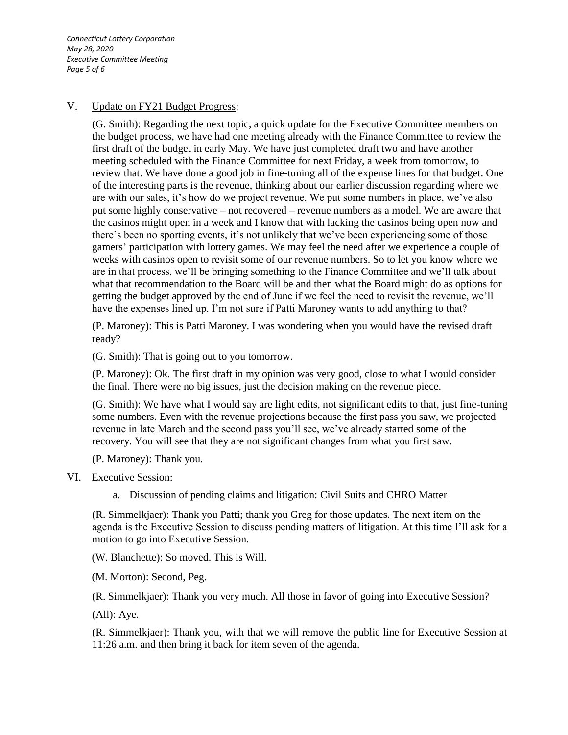*Connecticut Lottery Corporation May 28, 2020 Executive Committee Meeting Page 5 of 6*

#### V. Update on FY21 Budget Progress:

(G. Smith): Regarding the next topic, a quick update for the Executive Committee members on the budget process, we have had one meeting already with the Finance Committee to review the first draft of the budget in early May. We have just completed draft two and have another meeting scheduled with the Finance Committee for next Friday, a week from tomorrow, to review that. We have done a good job in fine-tuning all of the expense lines for that budget. One of the interesting parts is the revenue, thinking about our earlier discussion regarding where we are with our sales, it's how do we project revenue. We put some numbers in place, we've also put some highly conservative – not recovered – revenue numbers as a model. We are aware that the casinos might open in a week and I know that with lacking the casinos being open now and there's been no sporting events, it's not unlikely that we've been experiencing some of those gamers' participation with lottery games. We may feel the need after we experience a couple of weeks with casinos open to revisit some of our revenue numbers. So to let you know where we are in that process, we'll be bringing something to the Finance Committee and we'll talk about what that recommendation to the Board will be and then what the Board might do as options for getting the budget approved by the end of June if we feel the need to revisit the revenue, we'll have the expenses lined up. I'm not sure if Patti Maroney wants to add anything to that?

(P. Maroney): This is Patti Maroney. I was wondering when you would have the revised draft ready?

(G. Smith): That is going out to you tomorrow.

(P. Maroney): Ok. The first draft in my opinion was very good, close to what I would consider the final. There were no big issues, just the decision making on the revenue piece.

(G. Smith): We have what I would say are light edits, not significant edits to that, just fine-tuning some numbers. Even with the revenue projections because the first pass you saw, we projected revenue in late March and the second pass you'll see, we've already started some of the recovery. You will see that they are not significant changes from what you first saw.

(P. Maroney): Thank you.

#### VI. Executive Session:

a. Discussion of pending claims and litigation: Civil Suits and CHRO Matter

(R. Simmelkjaer): Thank you Patti; thank you Greg for those updates. The next item on the agenda is the Executive Session to discuss pending matters of litigation. At this time I'll ask for a motion to go into Executive Session.

(W. Blanchette): So moved. This is Will.

(M. Morton): Second, Peg.

(R. Simmelkjaer): Thank you very much. All those in favor of going into Executive Session?

(All): Aye.

(R. Simmelkjaer): Thank you, with that we will remove the public line for Executive Session at 11:26 a.m. and then bring it back for item seven of the agenda.